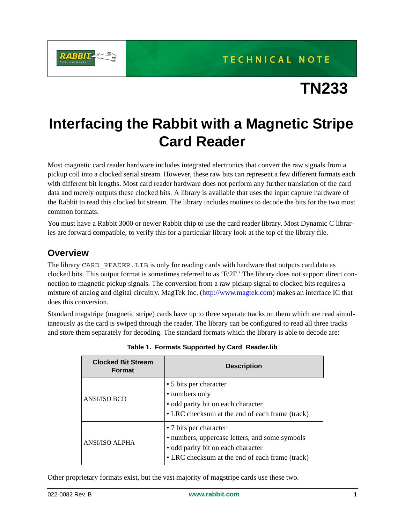

# **TN233**

# **Interfacing the Rabbit with a Magnetic Stripe Card Reader**

Most magnetic card reader hardware includes integrated electronics that convert the raw signals from a pickup coil into a clocked serial stream. However, these raw bits can represent a few different formats each with different bit lengths. Most card reader hardware does not perform any further translation of the card data and merely outputs these clocked bits. A library is available that uses the input capture hardware of the Rabbit to read this clocked bit stream. The library includes routines to decode the bits for the two most common formats.

You must have a Rabbit 3000 or newer Rabbit chip to use the card reader library. Most Dynamic C libraries are forward compatible; to verify this for a particular library look at the top of the library file.

## **Overview**

The library CARD\_READER. LIB is only for reading cards with hardware that outputs card data as clocked bits. This output format is sometimes referred to as 'F/2F.' The library does not support direct connection to magnetic pickup signals. The conversion from a raw pickup signal to clocked bits requires a mixture of analog and digital circuitry. MagTek Inc. [\(http://www.magtek.com\)](http://www.magtek.com) makes an interface IC that does this conversion.

Standard magstripe (magnetic stripe) cards have up to three separate tracks on them which are read simultaneously as the card is swiped through the reader. The library can be configured to read all three tracks and store them separately for decoding. The standard formats which the library is able to decode are:

| <b>Clocked Bit Stream</b><br><b>Format</b> | <b>Description</b>                                                                                                                                                |
|--------------------------------------------|-------------------------------------------------------------------------------------------------------------------------------------------------------------------|
| <b>ANSI/ISO BCD</b>                        | • 5 bits per character<br>• numbers only<br>· odd parity bit on each character<br>• LRC checksum at the end of each frame (track)                                 |
| <b>ANSI/ISO ALPHA</b>                      | • 7 bits per character<br>• numbers, uppercase letters, and some symbols<br>• odd parity bit on each character<br>• LRC checksum at the end of each frame (track) |

**Table 1. Formats Supported by Card\_Reader.lib**

Other proprietary formats exist, but the vast majority of magstripe cards use these two.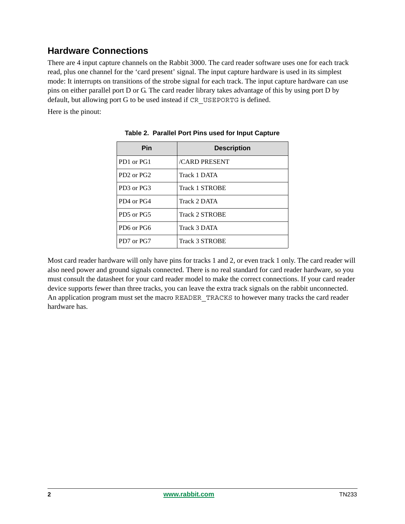# **Hardware Connections**

There are 4 input capture channels on the Rabbit 3000. The card reader software uses one for each track read, plus one channel for the 'card present' signal. The input capture hardware is used in its simplest mode: It interrupts on transitions of the strobe signal for each track. The input capture hardware can use pins on either parallel port D or G. The card reader library takes advantage of this by using port D by default, but allowing port G to be used instead if CR\_USEPORTG is defined.

Here is the pinout:

| Pin                                            | <b>Description</b>    |
|------------------------------------------------|-----------------------|
| PD1 or PG1                                     | <b>CARD PRESENT</b>   |
| PD <sub>2</sub> or P <sub>G</sub> <sub>2</sub> | Track 1 DATA          |
| PD3 or PG3                                     | <b>Track 1 STROBE</b> |
| PD4 or PG4                                     | Track 2 DATA          |
| PD5 or PG5                                     | <b>Track 2 STROBE</b> |
| PD6 or PG6                                     | Track 3 DATA          |
| PD7 or PG7                                     | <b>Track 3 STROBE</b> |

**Table 2. Parallel Port Pins used for Input Capture**

Most card reader hardware will only have pins for tracks 1 and 2, or even track 1 only. The card reader will also need power and ground signals connected. There is no real standard for card reader hardware, so you must consult the datasheet for your card reader model to make the correct connections. If your card reader device supports fewer than three tracks, you can leave the extra track signals on the rabbit unconnected. An application program must set the macro READER TRACKS to however many tracks the card reader hardware has.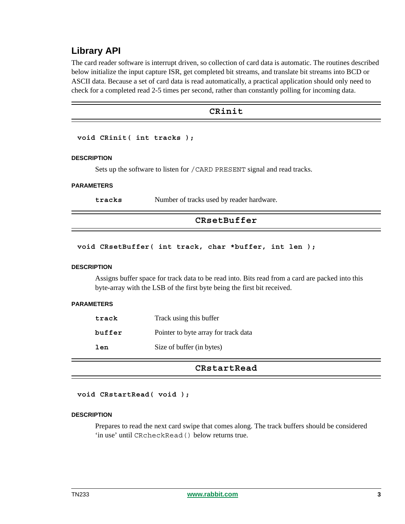## **Library API**

The card reader software is interrupt driven, so collection of card data is automatic. The routines described below initialize the input capture ISR, get completed bit streams, and translate bit streams into BCD or ASCII data. Because a set of card data is read automatically, a practical application should only need to check for a completed read 2-5 times per second, rather than constantly polling for incoming data.

### **CRinit**

#### **void CRinit( int tracks );**

#### **DESCRIPTION**

Sets up the software to listen for /CARD PRESENT signal and read tracks.

#### **PARAMETERS**

**tracks** Number of tracks used by reader hardware.

#### **CRsetBuffer**

**void CRsetBuffer( int track, char \*buffer, int len );**

#### **DESCRIPTION**

Assigns buffer space for track data to be read into. Bits read from a card are packed into this byte-array with the LSB of the first byte being the first bit received.

#### **PARAMETERS**

| track  | Track using this buffer              |
|--------|--------------------------------------|
| buffer | Pointer to byte array for track data |
| len    | Size of buffer (in bytes)            |

#### **CRstartRead**

#### **void CRstartRead( void );**

#### **DESCRIPTION**

Prepares to read the next card swipe that comes along. The track buffers should be considered 'in use' until CRcheckRead() below returns true.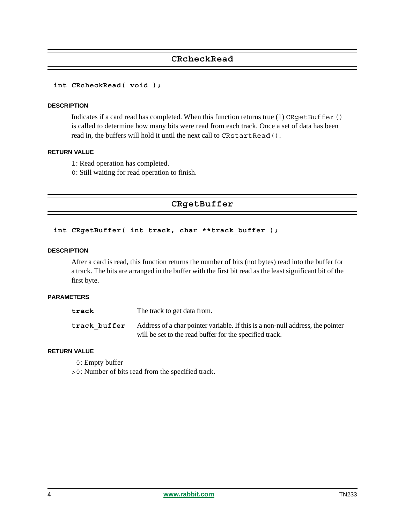## **CRcheckRead**

#### **int CRcheckRead( void );**

#### **DESCRIPTION**

Indicates if a card read has completed. When this function returns true  $(1)$  CRqetBuffer $()$ is called to determine how many bits were read from each track. Once a set of data has been read in, the buffers will hold it until the next call to CRstartRead().

#### **RETURN VALUE**

- 1: Read operation has completed.
- 0: Still waiting for read operation to finish.

## **CRgetBuffer**

#### int CRgetBuffer( int track, char \*\*track buffer );

#### **DESCRIPTION**

After a card is read, this function returns the number of bits (not bytes) read into the buffer for a track. The bits are arranged in the buffer with the first bit read as the least significant bit of the first byte.

#### **PARAMETERS**

| track        | The track to get data from.                                                    |
|--------------|--------------------------------------------------------------------------------|
| track buffer | Address of a char pointer variable. If this is a non-null address, the pointer |
|              | will be set to the read buffer for the specified track.                        |

#### **RETURN VALUE**

0: Empty buffer

>0: Number of bits read from the specified track.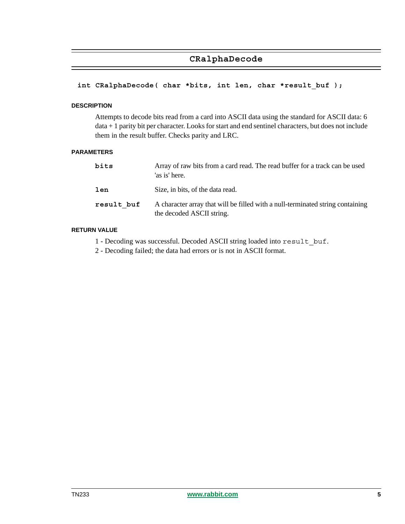## **CRalphaDecode**

#### **int CRalphaDecode( char \*bits, int len, char \*result\_buf );**

#### **DESCRIPTION**

Attempts to decode bits read from a card into ASCII data using the standard for ASCII data: 6 data + 1 parity bit per character. Looks for start and end sentinel characters, but does not include them in the result buffer. Checks parity and LRC.

#### **PARAMETERS**

| bits       | Array of raw bits from a card read. The read buffer for a track can be used<br>'as is' here.                |
|------------|-------------------------------------------------------------------------------------------------------------|
| len        | Size, in bits, of the data read.                                                                            |
| result buf | A character array that will be filled with a null-terminated string containing<br>the decoded ASCII string. |

#### **RETURN VALUE**

1 - Decoding was successful. Decoded ASCII string loaded into result\_buf.

2 - Decoding failed; the data had errors or is not in ASCII format.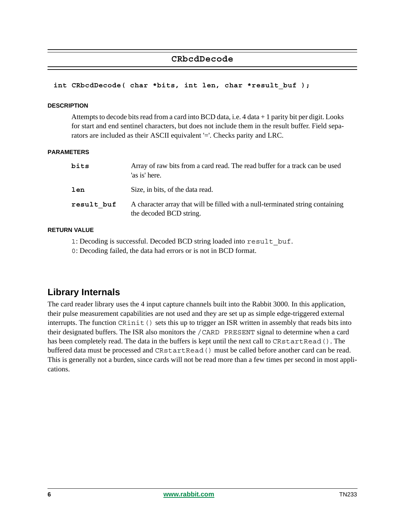## **CRbcdDecode**

#### **int CRbcdDecode( char \*bits, int len, char \*result\_buf );**

#### **DESCRIPTION**

Attempts to decode bits read from a card into BCD data, i.e. 4 data + 1 parity bit per digit. Looks for start and end sentinel characters, but does not include them in the result buffer. Field separators are included as their ASCII equivalent '='. Checks parity and LRC.

#### **PARAMETERS**

| bits       | Array of raw bits from a card read. The read buffer for a track can be used<br>'as is' here.              |
|------------|-----------------------------------------------------------------------------------------------------------|
| len        | Size, in bits, of the data read.                                                                          |
| result buf | A character array that will be filled with a null-terminated string containing<br>the decoded BCD string. |

#### **RETURN VALUE**

1: Decoding is successful. Decoded BCD string loaded into result buf.

0: Decoding failed, the data had errors or is not in BCD format.

## **Library Internals**

The card reader library uses the 4 input capture channels built into the Rabbit 3000. In this application, their pulse measurement capabilities are not used and they are set up as simple edge-triggered external interrupts. The function CRinit () sets this up to trigger an ISR written in assembly that reads bits into their designated buffers. The ISR also monitors the /CARD PRESENT signal to determine when a card has been completely read. The data in the buffers is kept until the next call to CRstartRead(). The buffered data must be processed and CRstartRead() must be called before another card can be read. This is generally not a burden, since cards will not be read more than a few times per second in most applications.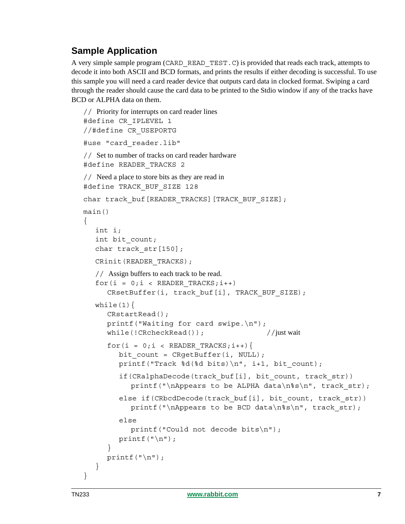# **Sample Application**

A very simple sample program (CARD\_READ\_TEST.C) is provided that reads each track, attempts to decode it into both ASCII and BCD formats, and prints the results if either decoding is successful. To use this sample you will need a card reader device that outputs card data in clocked format. Swiping a card through the reader should cause the card data to be printed to the Stdio window if any of the tracks have BCD or ALPHA data on them.

```
// Priority for interrupts on card reader lines
#define CR_IPLEVEL 1
//#define CR_USEPORTG
#use "card_reader.lib"
// Set to number of tracks on card reader hardware
#define READER_TRACKS 2
// Need a place to store bits as they are read in
#define TRACK_BUF_SIZE 128
char track buf [READER_TRACKS] [TRACK_BUF_SIZE];
main()
{
   int i;
   int bit_count;
   char track str[150];
  CRinit(READER_TRACKS);
  // Assign buffers to each track to be read.
   for(i = 0; i < READER TRACKS; i++)CRsetBuffer(i, track buf[i], TRACK BUF SIZE);
  while(1) {
     CRstartRead();
     printf("Waiting for card swipe.\n");
     while(!CRcheckRead()); //just wait
     for(i = 0;i < READER TRACKS;i++){
        bit count = CRgetBuffer(i, NULL);
        printf("Track d(d bits) \n", i+1, bit count);
        if(CRalphaDecode(track buf[i], bit count, track str))
           printf("\nAppears to be ALPHA data\n%s\n", track str);
        else if(CRbcdDecode(track buf[i], bit count, track str))
           printf("\nAppears to be BCD data\n%s\n", track str);
        else
           printf("Could not decode bits\n");
        printf(''\n'');
      }
     printf(''\n'');
   }
}
```